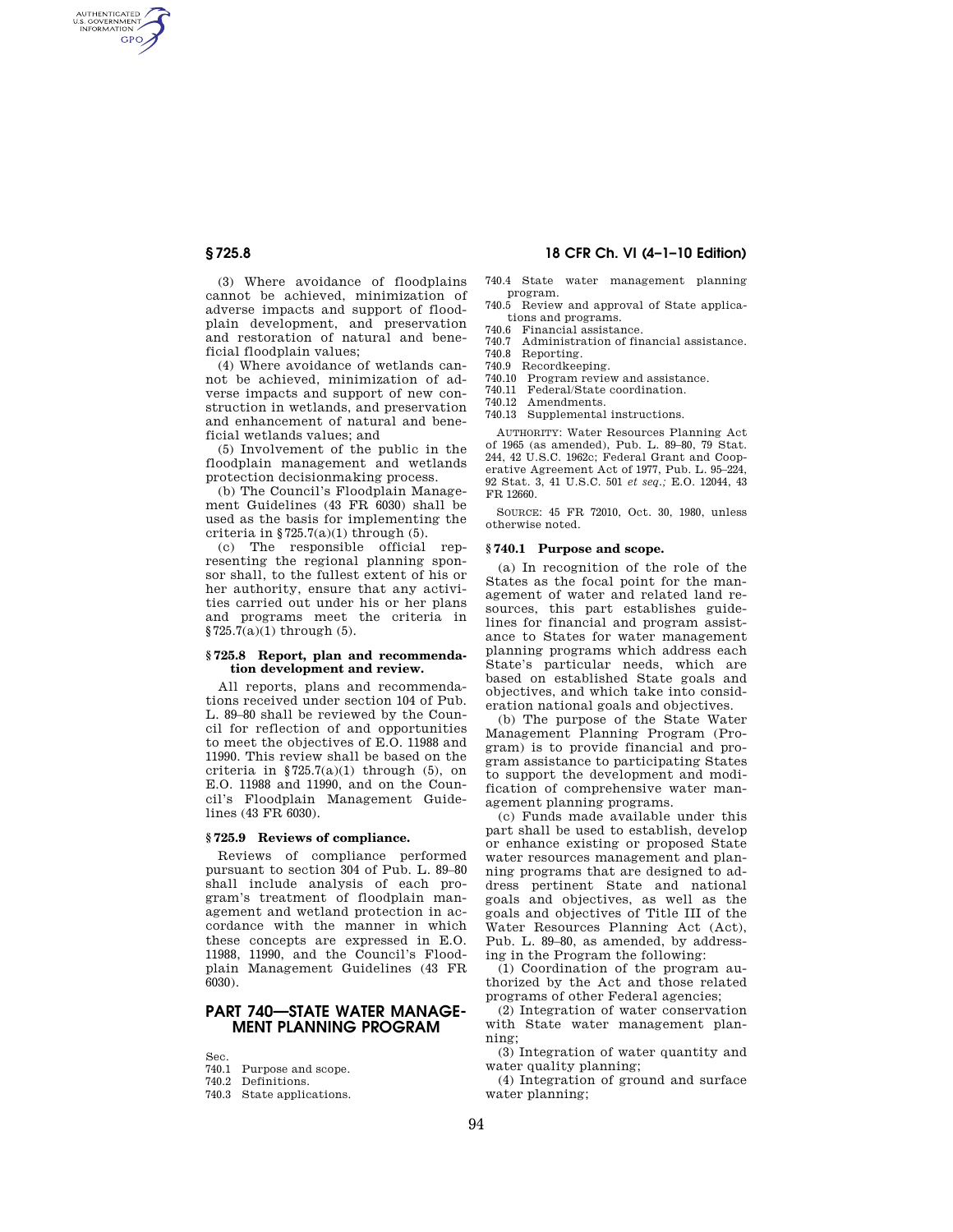AUTHENTICATED<br>U.S. GOVERNMENT<br>INFORMATION **GPO** 

> (3) Where avoidance of floodplains cannot be achieved, minimization of adverse impacts and support of floodplain development, and preservation and restoration of natural and beneficial floodplain values;

(4) Where avoidance of wetlands cannot be achieved, minimization of adverse impacts and support of new construction in wetlands, and preservation and enhancement of natural and beneficial wetlands values; and

(5) Involvement of the public in the floodplain management and wetlands protection decisionmaking process.

(b) The Council's Floodplain Management Guidelines (43 FR 6030) shall be used as the basis for implementing the criteria in  $$725.7(a)(1)$  through (5).

(c) The responsible official representing the regional planning sponsor shall, to the fullest extent of his or her authority, ensure that any activities carried out under his or her plans and programs meet the criteria in  $$725.7(a)(1)$  through (5).

## **§ 725.8 Report, plan and recommendation development and review.**

All reports, plans and recommendations received under section 104 of Pub. L. 89–80 shall be reviewed by the Council for reflection of and opportunities to meet the objectives of E.O. 11988 and 11990. This review shall be based on the criteria in  $$725.7(a)(1)$  through (5), on E.O. 11988 and 11990, and on the Council's Floodplain Management Guidelines (43 FR 6030).

## **§ 725.9 Reviews of compliance.**

Reviews of compliance performed pursuant to section 304 of Pub. L. 89–80 shall include analysis of each program's treatment of floodplain management and wetland protection in accordance with the manner in which these concepts are expressed in E.O. 11988, 11990, and the Council's Floodplain Management Guidelines (43 FR 6030).

## **PART 740—STATE WATER MANAGE-MENT PLANNING PROGRAM**

Sec.

- 740.2 Definitions.
- 740.3 State applications.

# **§ 725.8 18 CFR Ch. VI (4–1–10 Edition)**

740.4 State water management planning program.

- 740.5 Review and approval of State applications and programs.
- 740.6 Financial assistance.
- 740.7 Administration of financial assistance.
- 740.8 Reporting. 740.9 Recordkeeping.
- 740.10 Program review and assistance.
- 740.11 Federal/State coordination.
- 740.12 Amendments.
- 740.13 Supplemental instructions.

AUTHORITY: Water Resources Planning Act of 1965 (as amended), Pub. L. 89–80, 79 Stat. 244, 42 U.S.C. 1962c; Federal Grant and Cooperative Agreement Act of 1977, Pub. L. 95–224, 92 Stat. 3, 41 U.S.C. 501 *et seq.;* E.O. 12044, 43 FR 12660.

SOURCE: 45 FR 72010, Oct. 30, 1980, unless otherwise noted.

#### **§ 740.1 Purpose and scope.**

(a) In recognition of the role of the States as the focal point for the management of water and related land resources, this part establishes guidelines for financial and program assistance to States for water management planning programs which address each State's particular needs, which are based on established State goals and objectives, and which take into consideration national goals and objectives.

(b) The purpose of the State Water Management Planning Program (Program) is to provide financial and program assistance to participating States to support the development and modification of comprehensive water management planning programs.

(c) Funds made available under this part shall be used to establish, develop or enhance existing or proposed State water resources management and planning programs that are designed to address pertinent State and national goals and objectives, as well as the goals and objectives of Title III of the Water Resources Planning Act (Act), Pub. L. 89–80, as amended, by addressing in the Program the following:

(1) Coordination of the program authorized by the Act and those related programs of other Federal agencies;

(2) Integration of water conservation with State water management planning;

(3) Integration of water quantity and water quality planning;

(4) Integration of ground and surface water planning;

<sup>740.1</sup> Purpose and scope.